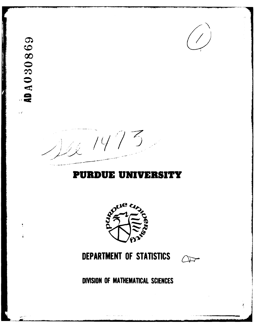AD A 030869

 $\hat{\mathcal{L}}$  is

 $\overline{\mathbf{y}}$ 



 $\overline{z}$  $\sim$  14  $^\prime\prime$ 

# **PURDUE UNIVERSITY**



# DEPARTMENT OF STATISTICS



DIVISION OF MATHEMATICAL SCIENCES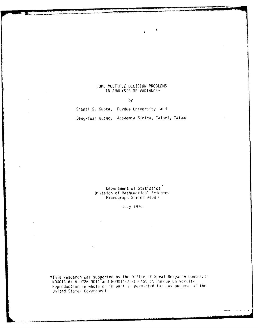### SOME MULTIPLE DECISION PROBLEMS IN ANALYSIS OF VARIANCE\*

by

Shanti S. Gupta, Purdue University and Deng-Yuan Huang, Academia Sinica, Taipei, Taiwan

> Department of Statistics Division of Mathematical Sciences Mimeograph Series #458 \*

> > July 1976

\*This research was supported by the Office of Naval Research Contracts<br>N00014-67-A-0226-0014 and N00014-75-C-0455 at Purdue University. Reproduction in whole or in part is permitted for any purpose of the United States Government.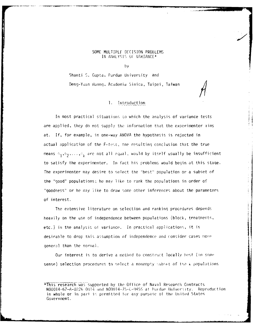#### **SOME MULTIPLE DECISION** PROBLEMS IN ANALYSIS OF VARIANCE\*

by

Shanti S. Gupta, Purdue University and Deng-Yuan Huang, Academia Sinica, Taipei, Taiwan

### **1.** Introduction

In most practical situations to which the analysis of variance tests are applied, they do not supply the information that the experimenter aims at. If, for example, in one-way ANOVA the hypothesis is rejected in actual application of the F-test, the resulting conclusion that the true means  $\theta_1, \theta_2, \ldots, \tilde{\theta}_k$  are not all equal, would by itself usually be <mark>insufficient</mark> to satisfy the experimenter. In fact his problems would begin at this staqe. The experimenter may desire to select the "best" population or a subset of the "good" populations; he may like to rank the populations in order of "goodness" or he may jike to draw some other inferences about the parameters of interest.

The extensive literature on selection and ranking procedures depends heavily on the use of independence between populations (block, treatments, etc.) in the analysis of variance. In practical applications, it is desirable to drop this assumption of independence and consider cases more general than the normal.

Our interest is to derive a method to construct locally hest (in some sense) selection procedures to select a nonempty subset of the  $k$  populations

<sup>\*</sup>This research was supported by the Office of Naval Research Contracts *NOOO14-67-A-0226*-0014 and *NOO014-75-C-0455* at Purdue University. Reproduction in whole or in part is permitted for any purpose of the United States Government.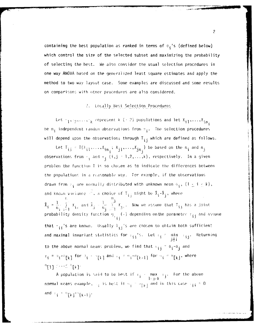containing the best population as ranked in terms of  $\theta_{\textbf{i}}$ 's (defined below) which control the size of the selected subset and maximizing the probability of selecting the best. We also consider the usual selection procedures in one way ANOVA based on the generalized least square estimates and apply the method to two way layout case. Some examples are discussed and some results on comparisons with other procedures are also considered.

## 2. Locally Best Selection Procedures

Let  $r_1, i_2, \ldots, r_k$  represent k (- 2) populations and let  $x_{i1}, \ldots, x_{in_k}$ be  $n_j$  independent random observations from  $\pi_j$ . The selection procedures will depend upon the observations through  $\mathsf{T}_{\mathbf{i} \, \mathbf{j}}$  which are defined as follows.

Let  $T_{ij} = T(x_{i1},...,x_{in_j}:x_{j1},...,x_{in_j})$  be based on the  $n_i$  and  $n_j$ observations from  $\mathbb{F}_j$  and  $\mathbb{F}_j$  (i,j  $: 1, 2, ..., k$ ), respectively. In a given problem the function I is so chosen as to indicate the differences between the populations in a reasonable way. For example, if the observations drawn from  $r_{\hat{\mathbf{i}}}$  are normally distributed with unknown mean  $\theta_{\hat{\mathbf{i}}}, (1 \leq \hat{\mathbf{i}} \leq k)$ , and known variance  $\overline{\mathbb{C}}$ , a choice of  $T_{i,j}$  might be  $\overline{X}_i - \overline{X}_j$ , where  $\bar{x}_j = \frac{1}{n_j} \sum_{i=1}^r x_{i,j}$  and  $\bar{x}_j = \frac{1}{n_j} \sum_{i=1}^{n_j} x_{j,i}$ . Now we assume that  $T_{ij}$  has a joint probability density function  $g_{\dagger}$  (.) depending on the parameter  $\tau_{ij}$  and assume that  $\tau_{ij}$ 's are known. Usually  $T_{ij}$ 's are chosen to obtain both sufficient and maximal invariant statistics for  $\tau_{j,j}$ 's. Let  $\tau_j = \min_{\substack{j \to i \ j \neq i}} \tau_{j,j}$ . Returning to the above normal means problem, we find that  $\tau_{ij} = \theta_i^{-1} \theta_j^{-1}$  and  $\tau_{\mathbf{i}} = \sigma_{\mathbf{i}} \star \sigma_{\mathbf{[}k\mathbf{]}}$  for  $\sigma_{\mathbf{i}} \leftarrow \sigma_{\mathbf{[}k\mathbf{]}}$  and  $\tau_{\mathbf{i}} \neq \sigma_{\mathbf{i}} \star \sigma_{\mathbf{i}}$  for  $\sigma_{\mathbf{i}} \neq \sigma_{\mathbf{[}k\mathbf{]}}$ , where  $^{0}[1]$   $\cdots$   $^{0}[k]$ 

A population is said to be best if  $\tau_{\mathbf{i}} = \frac{\text{max}}{1 + \mathbf{j} + \mathbf{k}}$  (i). For the above normal means example,  $\frac{1}{4}$  is best if  $\frac{1}{4}$  and in this case  $\frac{1}{11}$  = 0 and  $\mathfrak{t}_{\mathbf{i}} = \theta[k]^{\#} [k+1]^{\ast}$ 

 $\overline{c}$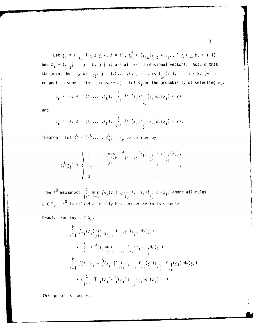Let  $\xi_{\mathbf{i}} = (\tau_{\mathbf{i},\mathbf{j}} | 1 \leq j \leq k$ ,  $j \neq i$ ),  $\xi_{\mathbf{i}}^{\mathbf{i}} = (\tau_{\mathbf{i},k} | \tau_{\mathbf{i},k} = \tau_{\mathbf{i},\mathbf{i}}, 1 \leq k \leq k$ ,  $k \neq i$ ) and  $z_i = (z_{i,i} | 1 \leq i \leq k, j \neq i)$  are all k-1 dimensional vectors. Assume that the joint density of  $T_{ij}$ ,  $j = 1, 2, ..., k$ ,  $j \neq i$ , is  $f_{\frac{r}{2}i}(\frac{z}{2i})$ ,  $1 \leq i \leq k$ , (with respect to some *n*-finite measure  $\mu$ ). Let  $\delta_i$  be the probability of selecting  $\pi_i$ ,

$$
S_{r} = \{\delta: \ \delta = (\delta_{1}, \ldots, \delta_{k}), \ \sum_{i=1}^{k} \int \delta_{i}(z_{i}) f_{\delta_{i}(z_{i}) d\mu}(z_{i}) \leq r\}
$$

and

$$
S_{r}^{i} = \{\delta : \delta = (\delta_{1}, \ldots, \delta_{k}), \ \ \sum_{i=1}^{k} \int \delta_{i}(\xi_{i}) f_{\xi_{i}}(\xi_{i}) d\mu(\xi_{i}) = r\}.
$$

**Theorem:** Let  $\delta^0 = (\delta_1^0, \ldots, \delta_k^0) \in S_r^+$  be defined by

$$
\delta_i^0(z_i) = \begin{cases}\n1 & \text{if } \min_{j \neq j \leq k} \frac{\partial}{\partial z_{i,j}} f_{\zeta_j}(z_i)|_{\zeta_j^1} > cf_{\zeta_j^1}(z_i), \\
0 < \end{cases}
$$

Then **6 o** maximizesi~ min Pl'i(zi;"- **f'-(zi)l** d ,(zi) among all rules  $E \in S_{\mathbf{r}}$ ,  $\delta^0$  is called a locally best procedure in this sense.

Proof. For any  $S \in S_p$ ,

$$
\frac{k}{i+1} \int_{\mathbb{R}^2} \int_{\mathbb{R}^2} \frac{z_i}{i+1} \sin \frac{z_i^2}{i+1} + \frac{z_i}{i+1} \int_{\mathbb{R}^2} \frac{z_i}{i+1} \sin \frac{z_i}{i+1} + \frac{z_i}{i+1} \int_{\mathbb{R}^2} \frac{z_i}{i+1} \sin \frac{z_i}{i+1} + \frac{z_i}{i+1} \int_{\mathbb{R}^2} \frac{z_i}{i+1} \sin \frac{z_i}{i+1} + \frac{z_i}{i+1} \int_{\mathbb{R}^2} \frac{z_i}{i+1} \prod_{i=1}^2 \frac{z_i}{i+1} \prod_{i=1}^2 \frac{z_i}{i+1} \prod_{i=1}^2 \frac{z_i}{i+1} \int_{\mathbb{R}^2} \frac{z_i}{i+1} \int_{\mathbb{R}^2} \frac{z_i}{i+1} \int_{\mathbb{R}^2} \frac{z_i}{i+1} \int_{\mathbb{R}^2} \frac{z_i}{i+1} \int_{\mathbb{R}^2} \frac{z_i}{i+1} \int_{\mathbb{R}^2} \frac{z_i}{i+1} \int_{\mathbb{R}^2} \frac{z_i}{i+1} \int_{\mathbb{R}^2} \frac{z_i}{i+1} \int_{\mathbb{R}^2} \frac{z_i}{i+1} \int_{\mathbb{R}^2} \frac{z_i}{i+1} \int_{\mathbb{R}^2} \frac{z_i}{i+1} \int_{\mathbb{R}^2} \frac{z_i}{i+1} \int_{\mathbb{R}^2} \frac{z_i}{i+1} \int_{\mathbb{R}^2} \frac{z_i}{i+1} \int_{\mathbb{R}^2} \frac{z_i}{i+1} \int_{\mathbb{R}^2} \frac{z_i}{i+1} \int_{\mathbb{R}^2} \frac{z_i}{i+1} \int_{\mathbb{R}^2} \frac{z_i}{i+1} \int_{\mathbb{R}^2} \frac{z_i}{i+1} \int_{\mathbb{R}^2} \frac{z_i}{i+1} \int_{\mathbb{R}^2} \frac{z_i}{i+1} \int_{\mathbb{R}^2} \frac{z_i
$$

This proof is complete.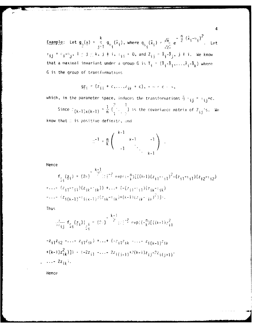Example: Let  $g_{\theta}(\underline{x}) = \frac{k}{j-1} g_{\theta}(\overline{x}_i)$ , where  $g_{\theta}(\overline{x}_i) = \frac{\sqrt{n}}{\sqrt{2\pi}} e^{-\frac{n}{2} (\overline{x}_i - \theta_i)^2}$ . Let  $\tau_{ij} = e_i - r_{j}, 1 \leq j \leq k, j \neq i, \tau_{ij} = 0, \text{ and } Z_{ij} = \bar{X}_i - \bar{X}_j, j \neq i.$  We know that a maximal invariant under a group G is  $T_j = (\overline{X}_j - \overline{X}_1, ..., \overline{X}_j - \overline{X}_k)$  where G is the group of transformations

$$
9\overline{z}_1 = (z_{11} + c, ..., z_{1k} + c), -\cdots < c - \infty,
$$

which, in the parameter space, induces the transformations  $\bar{q} + i j = i j + c$ .

Since  $\mathbb{E}(\mathbf{k-1})\times(\mathbf{k-1}) = \frac{1}{n}(\frac{?}{1+\frac{?}{2}})$  is the covariance matrix of  $\mathbb{Z}_{ij}$ 's. We know that D is positive definite, and

$$
m^{-1} = \frac{n}{k} \left( \begin{array}{ccc} k-1 & & & & -1 \\ & k-1 & & & -1 \\ & & \ddots & & \\ & & & k-1 \end{array} \right)
$$

Hence

$$
f_{\frac{1}{2}i}(z_i) = (2\pi)^{-\frac{k-1}{2}} |z|^{-\frac{3}{2}} \exp\{(-\frac{n}{k}) [((k-1)(z_{i1}-\frac{1}{2}i))^2 - (z_{i1}-\frac{1}{2}i)(z_{i2}-\frac{1}{2}i)^2]
$$
  
\n
$$
= ... - (z_{i1}-\frac{1}{2}i(k-1))^2 (z_{ik}-\frac{1}{2}i)(z_{ik}-\frac{1}{2}i)(z_{ik}-\frac{1}{2}i)(z_{ik}-\frac{1}{2}i)(z_{ik}-\frac{1}{2}i)(z_{ik}-\frac{1}{2}i)(z_{ik}-\frac{1}{2}i)(z_{ik}-\frac{1}{2}i)(z_{ik}-\frac{1}{2}i)(z_{ik}-\frac{1}{2}i)(z_{ik}-\frac{1}{2}i)(z_{ik}-\frac{1}{2}i)(z_{ik}-\frac{1}{2}i)(z_{ik}-\frac{1}{2}i)(z_{ik}-\frac{1}{2}i)(z_{ik}-\frac{1}{2}i)(z_{ik}-\frac{1}{2}i)(z_{ik}-\frac{1}{2}i)(z_{ik}-\frac{1}{2}i)(z_{ik}-\frac{1}{2}i)(z_{ik}-\frac{1}{2}i)(z_{ik}-\frac{1}{2}i)(z_{ik}-\frac{1}{2}i)(z_{ik}-\frac{1}{2}i)(z_{ik}-\frac{1}{2}i)(z_{ik}-\frac{1}{2}i)(z_{ik}-\frac{1}{2}i)(z_{ik}-\frac{1}{2}i)(z_{ik}-\frac{1}{2}i)(z_{ik}-\frac{1}{2}i)(z_{ik}-\frac{1}{2}i)(z_{ik}-\frac{1}{2}i)(z_{ik}-\frac{1}{2}i)(z_{ik}-\frac{1}{2}i)(z_{ik}-\frac{1}{2}i)(z_{ik}-\frac{1}{2}i)(z_{ik}-\frac{1}{2}i)(z_{ik}-\frac{1}{2}i)(z_{ik}-\frac{1}{2}i)(z_{ik}-\frac{1}{2}i)(z_{ik}-\frac{1}{2}i)(z_{ik}-\frac{1}{2}i)(z_{ik}-\frac{1}{2}i)(z_{ik}-\frac{1}{2}i)(z_{ik}-\frac{1}{2}i)(z_{ik}-\frac{1}{2}i)(z_{ik}-\frac{1}{2}i)(z_{ik}-\frac{1}{2
$$

Thus

$$
\frac{3}{3^{2}+1} f_{\frac{5}{4}}(z_{1})|_{\frac{1}{2}i} = (2i)^{-\frac{k-1}{2}} |y|^{-\frac{3}{2}} \exp\left(-\frac{n}{k}\right) [((k-1)z_{1}^{2}]
$$
  
\n
$$
-z_{11}z_{12} - \dots - z_{11}z_{1k}) + \dots + (-z_{11}z_{1k} - \dots - z_{1(k-1)}z_{1k}) + (-2z_{11} - \dots - 2z_{1(j-1)} + 2(k-1)z_{1j} - 2z_{1(j+1)} - \dots - 2z_{1k}).
$$

Hence

 $\overline{4}$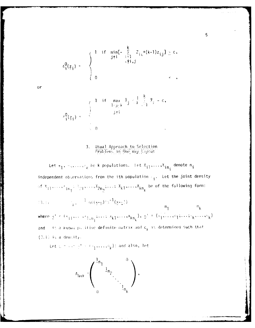$$
\delta_{i}^{0}(\underline{z}_{i}) = \begin{cases}\n1 & \text{if } \min_{j \neq i} [-\sum_{k=1}^{k} Z_{i,k} + (k-1)z_{i,j}] \geq c, \\
0 & \text{if } \sum_{k=1}^{k} Z_{i,k} + (k-1)z_{i,j} & \text{if } \sum_{k=1}^{k} C_{i,k}.\n\end{cases}
$$

$$
x_1^0(\underline{z}_1) = \begin{cases} 1 & \text{if } \max_{j \in [k]} \bar{x}_j < \frac{1}{k} \sum_{j=1}^k x_j - c, \\ & j \neq i \\ 0 & \text{if } i \end{cases}
$$

#### $3.$ Usual Approach to Selection Problems in One Way Layout

Let  $\pi_1, \pi_2, \ldots, \pi_k$  be k populations. Let  $x_{j1}, \ldots, x_{in_j}$  denote  $n_j$ independent observations from the ith population  $\mathbb{F}_i$ . Let the joint density of  $x_{11},...,x_{1n_1},x_{21},...,x_{2n_2},...,x_{k1},...,x_{kn_k}$  be of the following form:

(3.1) 
$$
\eta_1 = \frac{1}{4!} \left( \frac{4(3+1)}{2!} \right)^{1/2} \left( \frac{x+2}{2!} \right)
$$
  
where 
$$
s' = (x_{11}, \dots, x_{1,n_1}; \dots; x_{k1}, \dots, x_{kn_k}), \quad s' = (a_1, \dots, a_1; \dots; a_k, \dots, a_k)
$$

. It a known pullitive definite matrix and  $\mathsf{c}_{\mathsf{k}}$  is determined such that and  $(3.1)$  is a density.

Let  $u = \{u^1, u^2, \ldots, u_k\}$  and also, let



or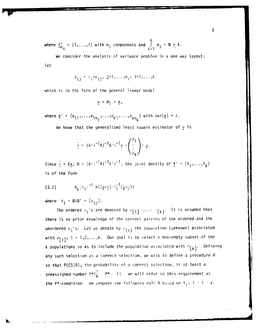k where  $\mathbf{l}_{n}^{\dagger} = (1, \ldots, 1)$  with  $n_i$  components and  $\int_{a}^{n} n_i = N \ge k$ .

We consider the analysis of variance problem in a one way layout; let

$$
x_{ij} = a_i + e_{ij}, \quad j = 1, \ldots, n_i; \quad i = 1, \ldots, k
$$

which is in the form of the general linear model

$$
\underline{x} = A_0 + \underline{e},
$$

where  $e' = (e_{11}, \ldots, e_{1n_1}; \ldots; e_{k1}, \ldots, e_{kn_k})$  with var( $e$ ) =  $\Lambda$ .

We know that the generalized least square estimator of  $\theta$  is

$$
\hat{p} = (A^T A^{-1} A)^{-1} A^T A^{-1} \underline{y} = \begin{pmatrix} y_1 \\ \vdots \\ y_k \end{pmatrix} = \underline{y}.
$$

Since  $\hat{\theta} = Bx$ ,  $B = (A^T A^{-T}A)^{-1}A^T A^{-T}$ , the joint density of  $Y' = (Y_1, \ldots, Y_k)$ is of the form

(3.2) 
$$
b_k |\Lambda_1|^{-\frac{3}{2p}} h((\gamma - \underline{\theta})^{\frac{1}{2}} \Lambda_1^{-1}(\gamma - \underline{\theta}))
$$

where  $A_1 = BAB' = (\sigma_{ij}).$ 

The ordered  $\sigma_j$ 's are denoted by  $\sigma_{[1]}$   $\sim$ ... "[k]. It is assumed that there is no prior knowledge of the correct pairing of the ordered and the unordered  $\theta_i$ 's. Let us denote by  $\pi_{(i)}$  the population (unknown) associated with  $\theta_{[i]}$ ,  $i = 1, 2, ..., k$ . Our goal is to select a non-empty subset of the k populations so as to include the population associated with  $0_{\lceil k \rceil}$ . Defining any such selection as a correct selection, we wish to define a procedure R so that  $P(CS|R)$ , the probability of a correct selection, is at least a **preassigned number**  $P^{\star}(\frac{1}{k} - P^{\star} \ge 1)$ **. We will refer to this requirement as** the P\*-condition. We propose the following rule R based on  $Y_i$ ,  $I \leq i \leq k$ .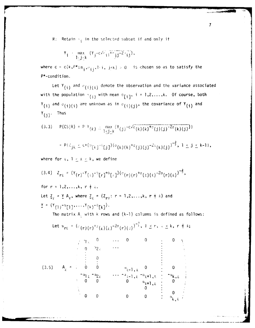$R:$  Retain  $\pi_{\hat{A}}$  in the selected subset if and only if

$$
Y_{\mathbf{i}} = \max_{1 \leq \mathbf{j} \leq \mathbf{k}} (Y_{\mathbf{j}} - c \sqrt{c_{\mathbf{i}}} \frac{1}{\mathbf{i}} \frac{1}{1} \frac{1}{2} \frac{1}{\mathbf{i}} \frac{1}{\mathbf{j}} \frac{1}{2} \frac{1}{\mathbf{i}} \frac{1}{\mathbf{j}}),
$$

where  $c = c(k, P^*; n_j, \sigma_{j,j}, l \cdot j, j \cdot k) > 0$  is chosen so as to satisfy the P\*-condition.

Let  $Y_{(i)}$  and  $\sigma_{(i)(i)}$  denote the observation and the variance associated with the population  $\mathbf{p}_{(i)}$  with mean  $\theta_{[i]}$ ,  $i = 1,2,...,k$ . Of course, both  $Y_{(i)}$  and  $J_{(i)(i)}$  are unknown as in  $J_{(i)(j)}$ , the covariance of  $Y_{(i)}$  and  $Y_{(j)}$ . Thus

**7**

$$
(3.3) \quad P(CS|R) = P(Y_{(k)} \leq \max_{1 \leq j \leq k} (Y_{(j)})^{-C\sqrt{\sigma}}(k)(k)^{+\sigma}(j)(j)^{-2\sigma}(k)(j))
$$
  

$$
= P(Z_{jk} \leq C^{+}(\sigma_{[k]^{-1}}[j])^{(\sigma}(k)(k)^{+\sigma}(j)(j)^{-2\sigma}(k)(j))^{-\frac{3}{2}}, 1 \leq j \leq k-1),
$$

where for  $x$ ,  $1 \le x \le k$ , we define

$$
(3.4) \quad Z_{r\ell} = (Y_{(r)}^{-Y}(\epsilon)^{-9} [r]^{+6} [\epsilon]^{16} (r) (r)^{+6} (\epsilon) (\epsilon)^{-20} (r) (\epsilon)^{-\frac{3}{2}},
$$
  
for  $r = 1, 2, ..., k, r + \epsilon$ .

Let  $Z_{\hat{y}} = Y A_{\hat{y}}$ , where  $Z_{\hat{y}} = (Z_{\hat{r}\hat{y}}: r = 1, 2, ..., k, r \neq \hat{z})$  and  $Y = (Y_{(1)} - \theta_{[1]}, \ldots, Y_{(k)} - \theta_{[k]})$ .

The matrix  $A_f$  with k rows and (k-1) columns is defined as follows:

Let 
$$
\alpha_{\text{ref}} = (c_{(r)(r)}^{+}c_{(r)(r)}^{-2\sigma}(r)(x))^{-\frac{3}{2}}, 1 \leq r, \lambda \leq k, r \neq k;
$$

$$
(3.5) \quad A_{\lambda} = \begin{bmatrix} a_{1\lambda} & 0 & \cdots & 0 & 0 & \vdots & 0 \\ 0 & a_{2\lambda} & \cdots & & & & \vdots \\ \vdots & 0 & & & & & \vdots \\ 0 & 0 & & & & a_{\lambda-1,\lambda} & 0 & \vdots \\ a_{1\lambda} & a_{2\lambda} & \cdots & a_{\lambda-1,\lambda} & a_{\lambda+1,\lambda} & \vdots \\ 0 & 0 & & & 0 & a_{\lambda+1,\lambda} & \vdots \\ 0 & 0 & & & & 0 & \vdots \\ 0 & 0 & & & & 0 & \vdots \\ 0 & 0 & & & & 0 & \vdots \\ 0 & 0 & & & & & a_{\lambda,\lambda} \end{bmatrix}
$$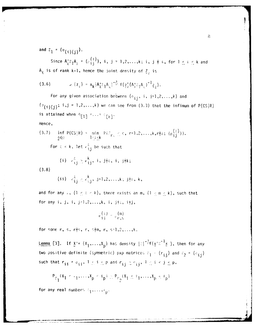and  $\Sigma_1 = (\sigma_{(i)(i)}).$ 

Since  $A_{\varrho}^{\dagger} \Sigma_1 A_{\varrho} = (p_{1,i}^{(2)})$ , i, j = 1,2,...,k; i, j  $\dagger$   $\ell$ , for  $1 \leq \ell \leq k$  and  $A_{\varrho}$  is of rank k-1, hence the joint density of  $\zeta_{\chi}$  is

$$
(3.6) \t x_{\epsilon}(z_{\epsilon}) = a_{k} |A_{k}^{\dagger} \Sigma_{1} A_{k}|^{-\frac{3}{2}} f(z_{k}^{\dagger} (A_{k}^{\dagger} \Sigma_{1} A_{k})^{-1} \Sigma_{k}).
$$

For any given association between  $(o_{i,j}, i, j=1,2,...,k)$  and  $(\sigma_{(i)(j)}; i,j = 1,2,...,k)$  we can see from (3.3) that the infimum of P(CS|R) is attained when  $\binom{n}{1}$  = ...=  $\binom{n}{k}$ . Honco

(3.7) 
$$
\inf_{\theta \in \mathbb{R}} P(CS|R) = \min_{1 \leq i \leq k} P(T_{r_{i}} \leq c, r=1,2,...,k,r \neq i; \{\rho_{ij}^{(\lambda)}\}\}.
$$
  
For  $\epsilon < k$ , let  $r_{ij}^{\delta}$  be such that

(i) 
$$
r_{ij}^{\xi} \geq \kappa_{ij}^{k}
$$
, i, j $\neq \xi$ , i, j $\neq k$ ;

 $(3.8)$ 

(ii) 
$$
\kappa_{ij}^{\lambda} \ge \kappa_{i,j}^{k}
$$
,  $j=1,2,\ldots,k$ ;  $j \neq k$ ,  $k$ ,

and for any  $\lambda$ ,  $(1 \leq \lambda \leq k)$ , there exists an m,  $(1 \leq m \leq k)$ , such that for any i, j, i, j=1,2,...,k, i, j+2, i+j,

$$
\kappa_{1,j}^{(\kappa)} = \rho_{r,s}^{(m)}
$$

for some r, s,  $r \nmid s$ , r,  $s \nmid m$ , r,  $s = 1, 2, ..., k$ .

Lemma [3]. If  $\underline{x}^1 = (x_1, ..., x_p)$  has density  $|z|^{-\frac{1}{2}}f(\underline{x}^1\overline{z}^{-1}\underline{x})$ , then for any two positive definite (symmetric) pxp matrices  $r_1 + (r_{ij})$  and  $r_2 = (q_{ij})$ such that  $r_{ij} = \sigma_{ij}$ ,  $1 \leq i \leq p$  and  $r_{ij} \geq \sigma_{ij}$ ,  $1 \leq i < j \leq p$ ,

$$
\mathsf{P}_{\Gamma_1}\{x_1\leq \cdots, x_p\leq \epsilon_p\}\geq \mathsf{P}_{\Gamma_2}(x_1\leq \epsilon_1,\ldots,x_p\leq \epsilon_p\}
$$

for any real numbers  $\ell_1, \ldots, \ell_p$ .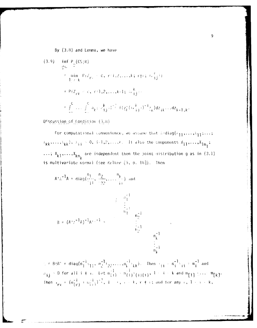By (3.8) and Lemma, we have

(3.9) 
$$
\inf_{\substack{g \in \mathbb{R}^n \\ \int_{\mathbb{R}^d} f(x, k) = 0}} P(f(x, k) - c, r^{m+1}, 2, ..., k; r \nmid r; b, j \nmid t
$$
\n
$$
= P(Z_{rk} \leq c, r \cdot 1, 2, ..., k-1; (c_{ij}^{k}) \cdot \frac{1}{2})
$$
\n
$$
= \int_{\mathbb{R}^n} \cdots \int_{\mathbb{R}^n} a_{k} \left( \frac{k}{j} \right) \left( \frac{1}{j} \right)^k f(z_{k}^{k}(c_{ij}^{k}))^{-1} z_{k} \right) dz_{jk} ... dz_{k-1,k}.
$$

Discussion of Condition  $(3.8)$ 

For computational convenience, we assume that andiag( $\lambda_{\uparrow\uparrow}, \ldots, \lambda_{\uparrow\uparrow}; \ldots;$  $\lambda_{kk}, \ldots, \lambda_{kk}$ ,  $\lambda_{ji} > 0$ , i=1,2,..., $k$ . It also the components  $x_{11}, \ldots, x_{1n_j}$ ;  $\ldots$ ;  $x_{k1}, \ldots, x_{kn_k}$  are independent then the joint distribution g as in (3.1) is multivariate normal (see Kelker [9, p. 18]). Then

$$
A^T \Delta^{-1} A = diag(\frac{n_1}{11}, \frac{n_2}{122}, \dots, \frac{n_k}{k})
$$
 and  

$$
\begin{array}{ccc}\n&\begin{array}{c}\n&\frac{n_1}{1} \\
&\vdots \\
&\frac{n_1}{1} \\
&\frac{n_2}{1} \\
&\frac{n_2}{2}\n\end{array}\n\end{array}
$$
  

$$
B = (A^T \Delta^{-1} A)^{-1} A^{T-1} = \begin{array}{ccc}\n&\begin{array}{c}\n&\frac{n_1}{1} \\
&\vdots \\
&\vdots \\
&\frac{n_1}{k}\n\end{array}\n\end{array}
$$

 $\gamma = BAB' = diag(n_1^{-1}y_1, n_2^{-1}y_2, ..., n_k^{-1}y_k)$ . Then  $y_{ij} = n_i^{-1}y_{ij} = m_i^{-1}$  and  $v_{ij} = 0$  for all  $i + i$ . Let  $m_{(i)}^{-1} = n_{(i)}^{-1}$  (i)(i),  $1 - i - k$  and  $m_{[1]}$  :...  $m_{[k]}$ . Then  $\alpha_{\gamma\gamma} = (m_{(\gamma)}^{-1} + m_{(\gamma)}^{-1})^{-1}$ ,  $1 - \gamma$ ,  $\gamma \geq k$ ,  $\gamma \neq \gamma$ ; and for any  $\gamma$ ,  $1 + \gamma \geq k$ ,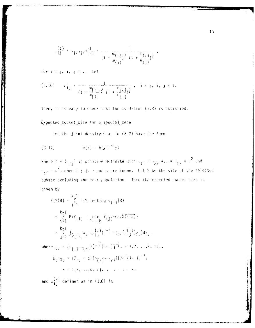$$
\frac{f(z)}{f(z)} = x_1 e^{tx_1} e^{mt_1^2} e^{-mt_1^2} = \frac{1}{(1 + \frac{m}{m}(\frac{1}{2}))^2} \frac{1}{(1 + \frac{m}{m}(\frac{1}{2}))^2}
$$

for  $i \neq j$ ,  $i$ ,  $j \neq k$ . Let

Then, it is easy to check that the condition  $(3.8)$  is satisfied.

Expected subset size for a special case

Let the joint density p as in (3.2) have the form

(3.11) 
$$
p(\chi) = h(\chi^2)^{-1} \chi
$$

where  $r = (r_{ij})$  is positive definite with  $r_{11} = r_{22} = \ldots = r_{kk} = r^2$  and  $\sigma_{ij} = e^2$ , when i i j. and p are known. Let S be the size of the selected subset excluding the hest population. Then the expected subset size is given by

$$
E(S|R) = \sum_{i=1}^{k-1} P(Selecting \pi_{(i)}|R)
$$
  
\n
$$
= \sum_{i=1}^{k-1} P(Y_{(i)} - \max_{1 \leq j \leq k} Y_{(j)} - C_0 \sqrt{2(1-\rho)})
$$
  
\n
$$
= \sum_{i=1}^{k-1} \int_{B_{i}+0} a_{k} (C_{i,j}^{(i)}) e^{-\frac{1}{2}} f(z_{i}^{(i)} C_{i,j}^{(i)}) z_{k} d z_{k},
$$
  
\nwhere  $e_{k} = C_{i}[C_{i}]^{-1}[r] [2^{2}(1-\sqrt{1-\rho})]^{-1}$ ,  $r=1,2,...,k$ ,  $r=1,2,...,k$ ,  $r=1,2,...,k$ ,  $r \neq c$ ,  $1 \leq k \leq k$ ,  
\nand  $e^{(k)}$  defined as in (3.6) is

 $\alpha$  and  $\alpha$  and  $\alpha$ "ij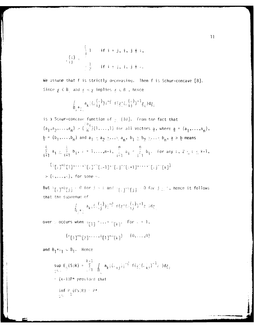$$
\begin{array}{c}\n\left(\frac{1}{2}\right) & \text{if } i = j, i, j \neq i, \\
\frac{1}{2} & \text{if } i \neq j, i, j \neq i.\n\end{array}
$$

We assume that f is strictly decreasing. Then f is Schur-concave [8]. Since  $y \in B$ , and  $x \prec y$  implies  $x \in B$ , hence

$$
\int_{B_{\frac{1}{2}} + \frac{1}{2} \times \mathbb{R}} a_{\frac{1}{2}} \left( \left( \frac{1}{2} \right)^2 \right) \left( \frac{-2}{2} \right) f \left( \frac{1}{2} \right) \left( \frac{1}{2} \right)^2 \right)^{-1} \mathbb{Z}_{g} \big) \, \mathrm{d} \mathbb{Z}_{g}
$$

is a Schur-concave function of  $\frac{1}{2}$ . [10]. From the fact that  $(a_1, a_2, \ldots, a_n) \geq \left(\frac{a_1}{n}\right)(1, \ldots, 1)$  for all vectors a, where  $\underline{a} = (a_1, \ldots, a_n)$ ,  $\underline{b} = (b_1, \ldots, b_n)$  and  $a_1 \geq a_2 \geq \cdots \geq a_n$ ,  $b_1 \geq b_2 \geq \cdots \geq b_n$ ,  $\underline{a} > \underline{b}$  means  $\frac{\ell}{i^{\frac{1}{2}}}a_i \geq \frac{\ell}{i^{\frac{1}{2}}}b_i, \; i = 1,...,n-1, \; \frac{n}{\ell-1}a_i = \frac{n}{i^{\frac{1}{2}}}b_i.$  For any  $\ell, \; 2 \leq \ell \leq k-1$ ,  $(\mathfrak{s}_1,\mathfrak{p}_1,\mathfrak{p}_2,\ldots,\mathfrak{p}_k,\mathfrak{p}_k,\mathfrak{p}_k,\mathfrak{p}_k,\mathfrak{p}_k,\mathfrak{p}_k,\mathfrak{p}_k,\ldots,\mathfrak{p}_k,\mathfrak{p}_k,\mathfrak{p}_k)$  $>$  (0,...,  $\phi$ ), for some  $\phi$ .

But  $\alpha_{[j]} \rightarrow 0$  for  $j > i$  and  $\alpha_{[j]} \rightarrow 0$  for  $j \geq i$ , hence it follows that the supremum of

$$
\int_{B_{\frac{1}{2}} + \frac{1}{2}} a_{\frac{1}{2} + \frac{1}{2}} \left( \omega_{\frac{1}{2}, \frac{1}{2}}^{(\frac{1}{2})} \right) \left( \frac{-\frac{3}{2}}{2} \right) f(\frac{1}{2}) \left( \omega_{\frac{1}{2}, \frac{1}{2}}^{(\frac{1}{2})} \right)^{-1} \frac{1}{2} \left( \omega_{\frac{1}{2}, \frac{1}{2}}^{(\frac{1}{2})} \right) \mathrm{d} \frac{1}{2}
$$

over  $\vee$  occurs when  $\partial [1]$  = ...=  $\partial [k]$ . For  $k = 1$ ,

$$
(0^{[1]})_{-0}^{[3]}\left[\frac{1}{2},\ldots,0^{[1]})_{-0}^{[1]}\left[\frac{1}{2}\right]\right) \quad (0,\ldots,0)
$$

and  $B_1^{\dagger}b_1 \subseteq B_1$ . Hence

$$
\sup_{\substack{g \in \mathbb{R}^n \\ g \neq 0}} F_g(S|R) = \sum_{i=1}^{k-1} \int_{B} a_k |(x_{ij})|^{-\frac{3}{2}} f(\frac{1}{2}(x_{ij}^*)^{-1}z_i) dz_g
$$
  
= (k-1)P\* provided that  

$$
\inf_{\substack{g \in \mathbb{R}^n \\ g \neq 0}} P_g(S|R) = P^*.
$$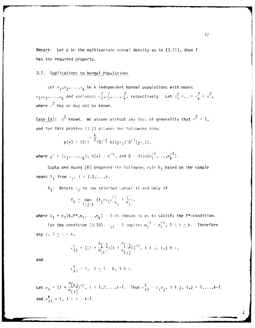Remark: Let  $p$  be the multivariate normal density as in  $(3.11)$ , then f has the required property.

 $3.1.$ Applications to Normal Populations

Let  $\pi_1, \pi_2, \ldots, \pi_k$  be k independent normal populations with means  $\mu_1, \mu_2, \ldots, \mu_k$  and variances  $\sigma_1^2, \sigma_2^2, \ldots, \sigma_k^2$ , respectively. Let  $\sigma_1^2 = \ldots = \sigma_k^2 = \sigma^2$ , where  $s^2$  may or may not be known.

Case (a):  $\sigma^2$  known. We assume without any loss of generality that  $\sigma^2 = 1$ , and for this problem (3.2) assumes the following form:

$$
p(\underline{x}) = (2\pi)^{-\frac{K}{2}}|D|^{-\frac{3}{2}} h((\underline{y} - \underline{u})^{\dagger}D^{-1}(\underline{y} - \underline{v})),
$$

where  $\mu' = (\mu_1, \ldots, \mu_k)$ ,  $h(x) = e^{-x}$ , and  $D = diag(n_1^{-1}, \ldots, n_k^{-1})$ .

Gupta and Huang  $[6]$  proposed the following rule  $R_1$  based on the sample means  $Y_i$  from  $\pi_i$ ,  $i = 1, 2, ..., k$ .

 $R_1$ : Retain  $\pi_{\frac{1}{2}}$  in the selected subset if and only if

$$
Y_{\mathbf{i}} \geq \max_{1 \leq \mathbf{j} \leq \mathbf{k}} (Y_{\mathbf{j}} - c_1 \sqrt{\frac{1}{n_{\mathbf{j}}}} + \frac{1}{n_{\mathbf{j}}}),
$$

where  $c_1 = c_1(k, P^*, n_1, ..., n_k) > 0$  is chosen so as to satisfy the P\*-condition.

For the condition (3.10),  $\lambda_{\hat{i}\hat{j}} = 1$  implies  $m_{\hat{i}}^{-1} = n_{\hat{i}}^{-1}$ ,  $1 \leq i \leq k$ . Therefore any  $x, 1 \leq x \leq k$ ,

$$
\kappa_{ij}^k = \big[ (1 + \frac{n_{i,j}}{n_{[k]}})(1 + \frac{n_{i,j}}{n_{[j]}}) \big]^{-\frac{1}{2}}, i + j, i, j + s,
$$

and

$$
\kappa\frac{\ell}{i}\;(\;{}^\pm\;1\,,\quad 1\;\leq\;i\;<\,k\,,\;\;i\;+\;s\,.
$$

Let  $B_i = (1 + \frac{n[k_i]}{n_{i+1}})^{-\frac{3}{2}}$ ,  $i = 1, 2, ..., k-1$ . Thus  $\frac{k}{13} = \beta_i B_j$ ,  $i \neq j$ ,  $i,j = 1, ..., k-1$ and  $\kappa_{i,i}^k = 1, 1 \le i \le k-1$ .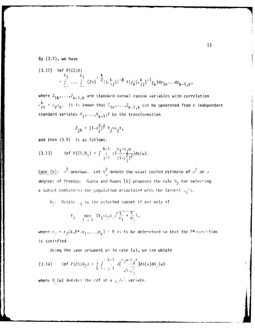**By (3.7),** we have

(3.12) inf 
$$
P(CS|R)
$$
  
\n
$$
= \int_{\infty}^{C_1} \cdots \int_{\infty}^{C_l} (2\pi)^{-\frac{k}{2}} |(\cdot_{ij}^k)|^{-\frac{2}{p}} f(\frac{1}{2k}(\cdot_{ij}^k)^{-1} \frac{1}{2k}) dz_{1k} \cdots dz_{k-1,k},
$$

where  $Z_{jk}$ ,..., $Z_{k-1,k}$  are standard normal random variables with correlation  $r_{rs}^k = B_r B_s$ . It is known that  $Z_{1k}, \ldots, Z_{k-1,k}$  can be generated from k independent standard variates Y<sub>1</sub>,...,Y<sub>k-1</sub>,Y by the transformation

$$
Z_{jk} = (1 - \beta_j^2)^{\frac{3}{2}} Y_j + \beta_j Y,
$$

and then (3.9) is as follows:

(3.13) 
$$
\inf P(CS|R_1) = \int \frac{k-1}{i!} \phi(\frac{c_1 - \beta_1 u}{(1 - \beta_1^2)^{\frac{3}{2}}}) d\phi(u).
$$

Case (b):  $\sigma^2$  unknown. Let s<sup>2</sup> denote the usual pooled estimate of  $\sigma^2$  on  $\sigma$ degrees of freedom. Gupta and Huang [6] proposed the rule  $R_2$  for selecting a subset containing the population associated with the largest  $\mu_4$ 's.

 $R_p$ : Retain  $\mathbb{F}_i$  in the selected subset if and only if

$$
Y_{i} = \max_{1 \leq j \leq k} (Y_{j} - c_{2}s_{y} \sqrt{\frac{1}{n_{j}} + \frac{1}{n_{j}}}),
$$

where  $c_p = c_2(k, P^*, n_1, \ldots, n_k) > 0$  is to be determined so that the P\*-condition is satisfied.

Using the same argument as in case  $(a)$ , we can obtain

(3.14) 
$$
\inf P(CS|R_2) = \int_{0}^{\infty} \int_{-\infty}^{\infty} \frac{k-1}{j-1} \phi \left(-\frac{C_2 u - C_1 x}{\sqrt{1-\frac{C_2}{n-1}}} \right) d\phi(x) d\theta_{\phi}(u)
$$

where  $Q_{\psi}(u)$  denotes the cdf of a  $\chi_{\psi}/\sqrt{u}$  variate.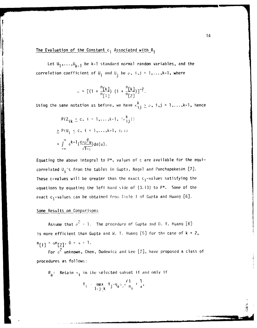# The Evaluation of the Constant  $c_1$  Associated with  $R_1$

Let  $U_1, \ldots, U_{k-1}$  be  $k-1$  standard normal random variables, and the correlation coefficient of  $U_i$  and  $U_j$  be  $\rho$ ,  $i, j = 1, ..., k-1$ , where

<sup>3</sup>

$$
0 = [(1 + \frac{n[k]}{n[1]})(1 + \frac{n[k]}{n[2]})]^{-\frac{3}{2}}.
$$

Using the same notation as before, we have  $\kappa_{ij}^k \ge \rho$ , i,j = 1,...,k-l, hence

$$
P\{Z_{jk} \leq c, i = 1, ..., k-1, \{\kappa_{ij}^k\}\}\
$$
  
\n
$$
\geq P\{U_j \leq c, i = 1, ..., k-1, \{\kappa\}\}
$$
  
\n
$$
= \int_{-\infty}^{\infty} \phi^{k-1} \left(\frac{c - \rho^{\frac{2}{2}} u}{\sqrt{1 - \rho}}\right) d\phi(u).
$$

Equating the above integral to  $P^*$ , values of c are available for the equicorrelated U<sub>i</sub>'s from the tables in Gupta, Nagel and Panchapakesan [7]. These c-values will be greater than the exact  $c_1$ -values satisfying the equations by equating the left hand side of (3.13) to P\*. Some of the exact c<sub>l</sub>-values can be obtained from Taple 1 of Gupta and Huang [6].

# Some Results on Comparisons

Assume that  $\sigma^2 = 1$ . The procedure of Gupta and D. Y. Huang [6] is more efficient than Gupta and W. T. Huang [5] for the case of k **=** 2,  $n_{[1]} = \alpha n_{[2]}, 0 < \alpha < 1.$ 

For **a.2** unknown, Chen, Dudewicz and Lee [2], have proposed a class of procedures as follows:

 $R_{\rm a}$ : Retain  $\pi_{\rm i}$  in the selected subset if and only if

$$
\|Y_j\| \leq \max_{1 \leq j \leq k} \|Y_j - q_a\|_{\mathcal{D}} \sqrt{\frac{1}{n_j} + \frac{1}{a}},
$$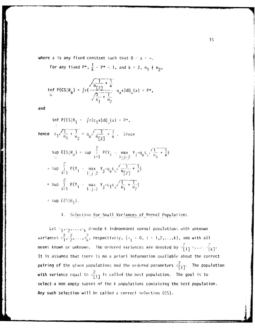where a is any fixed constant such that  $0 < a < \infty$ .

For any fixed  $P^{\star}$ ,  $\frac{1}{k}$  <  $P^{\star}$  < 1, and k = 2,  $n_1$   $\neq$   $n_2$ ,

$$
\inf_{\Omega} P(CS|R_{a}) = \int \Phi\left(\frac{\frac{1}{n_{1}^{2}} + \frac{1}{a}}{\sqrt{\frac{1}{n_{1}} + \frac{1}{n_{2}}}} q_{a}x\right) dQ_{v}(x) = P^{*},
$$

and

$$
\inf_{C_1} P(CS | R_1 = \int_0^1 f(c_1 x) dQ_0(x) = P^*,
$$
\n
$$
\lim_{C_1} \frac{1}{n_1 + n_2} = q_a \sqrt{\frac{1}{n_2 + 1}} + \frac{1}{a}, \quad \text{Since}
$$
\n
$$
\sup_{C_2} E(S | R_a) = \sup_{\{|\frac{1}{2}| \leq 1\}} \frac{2}{P(Y_1 + \frac{max}{1 - \frac{1}{2}}) - q_a s_{\sqrt{x - \frac{1}{2}} + \frac{1}{a}})} = \sup_{C_1} \frac{2}{i^2 + 1} P(Y_1 + \frac{max}{1 - \frac{1}{2}}) = \sup_{C_1} \frac{2}{i^2 + 1} P(Y_1 + \frac{max}{1 - \frac{1}{2}}) = \sup_{C_1} \frac{2}{i^2 + 1} P(Y_1 + \frac{max}{1 - \frac{1}{2}}) = \sup_{C_1} \frac{2}{i^2 + 1} P(Y_1 + \frac{max}{1 - \frac{1}{2}}) = \sup_{C_1} E(S | R_1).
$$

## 4. Selection for Small Variances of Normal Populations

Let  $\pi_1, \pi_2, \ldots, \pi_k$  denote k independent normal populations with unknown variances  $\circ_1^2, \circ_2^2, \ldots, \circ_k^2$ , respectively,  $(\circ_j > 0, i = 1, 2, \ldots, k)$ , and with all means known or unknown. The ordered variances are denoted by  $\sigma_{f11}^2 \sim \cdots \sim_{fk1}^2$ . It is assumed that there is no a priori information available about the correct pairing of the given populations and the ordered parameters  $\sigma^2_{\{i\}}$ . The population with variance equal to  $\sigma_{111}^2$  is called the best population. The goal is to select a non empty subset of the k populations containing the best population. Any such selection will be called a correct selection (CS).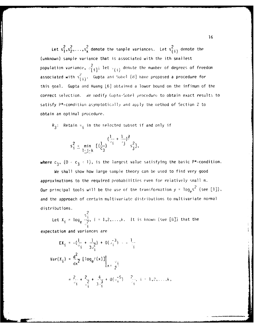Let  $s_1^2, s_2^2, \ldots, s_k^2$  denote the sample variances. Let  $s_{(i)}^2$  denote the (unknown) sample variance that is associated with the ith smallest population variance,  $\mathbb{F}_{\left\lbrace \left. i \right\rbrace}^{2}$  ; let  $\mathbb{F}_{\left\lbrace \left. i \right\rbrace}$  denote the number of degrees of freedom associated with  $s^2_{(i)}$ . Gupta and Sobel [8] have proposed a procedure for this goal. Gupta and Huang [6] obtained a lower bound on the infimum of the correct selection. 4e modify Gupta-Scobel procedure to obtain exact results to satisfy P\*-condition asymptotically and apply the method of Section 2 to obtain an optimal procedure.

 $R_3$ : Retain  $\pi_{\hat{i}}$  in the selected subset if and only if

$$
s_{j}^{2} \leq \min_{1 \leq j \leq k} [(\frac{1}{c_{3}})^{(\frac{1}{\nu_{j}} + \frac{1}{\nu_{j}})^{\frac{3}{2}}} s_{j}^{2}],
$$

where  $c_3$ ,  $(0 < c_3 < 1)$ , is the largest value satisfying the basic P\*-condition.

We shall show how large sample theory can be used to find very good approximations to the required probabilities even for relatively small n. Our principal tools will be the use of the transformation  $y = \log_\rho s^2$  (see [1]), and the approach of certain multivariate distributions to multivariate normal distributions.

S. Let  $X_i = \log_{\rho} \frac{1}{2}$ , i = 1,2,...,k. It is known (see [8]) that the

expectation and variances are

$$
EX_{i} = -(\frac{1}{v_{i}} + \frac{1}{3v_{i}^{2}}) + 0(\frac{1}{v_{i}^{2}}) - \frac{1}{i}
$$
  

$$
Var(X_{i}) = \frac{d^{2}}{dx^{2}} [log_{e}f(x)]|_{x = \frac{v_{i}}{2}}
$$

$$
= \frac{2}{v_{i}} + \frac{2}{v_{i}^{2}} + \frac{4}{3v_{i}^{3}} + 0(\frac{1}{v_{i}^{2}})^{5} + \frac{2}{i}, i = 1, 2, ..., k,
$$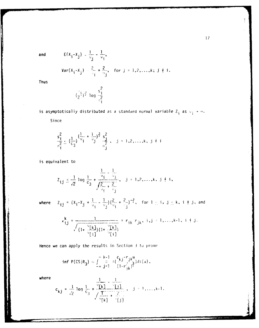and

$$
E(X_{j}-X_{j}) = \frac{1}{\nu_{j}} - \frac{1}{\nu_{i}},
$$
  
 
$$
Var(X_{j}-X_{j}) = \frac{2}{\nu_{i}} + \frac{2}{\nu_{j}}, \text{ for } j = 1,2,...,k; j \neq i.
$$

**Thus** 

$$
(\frac{9}{2}i)^{\frac{3}{2}}
$$
 log  $\frac{s_i^2}{s_i^2}$ 

is asymptotically distributed as a standard normal variable  $Z_{\mathbf{i}}$  as  $\vee_{\mathbf{i}} \rightarrow \infty$ .

Since

$$
\frac{s_{\mathbf{i}}^2}{\sigma_{\mathbf{i}}^2} \leq (\frac{1}{c_3})^{(\frac{1}{v_1} + \frac{1}{v_3})^{\frac{3}{2}}} \frac{s_3^2}{\sigma_{\mathbf{j}}^2}, \quad \mathbf{j} = 1, 2, ..., k, \quad \mathbf{j} \neq \mathbf{i}
$$

is equivalent to

$$
Z_{\mathbf{i} \mathbf{j}} \leq \frac{1}{\sqrt{2}} \log \frac{1}{c_3} + \frac{\frac{1}{\sqrt{3}}}{\frac{1}{\sqrt{2}} \cdot \frac{1}{\sqrt{3}}}, \quad \mathbf{j} = 1, 2, ..., k, \quad \mathbf{j} \neq \mathbf{i},
$$

where

$$
Z_{\mathbf{i}\mathbf{j}} = (X_{\mathbf{i}} - X_{\mathbf{j}} + \frac{1}{v_{\mathbf{i}}} - \frac{1}{v_{\mathbf{j}}})(\frac{2}{v_{\mathbf{i}}} + \frac{2}{v_{\mathbf{j}}})^{-\frac{3}{2}}, \text{ for } 1 \leq \mathbf{i} \leq \mathbf{j} \leq \mathbf{k}, \mathbf{i} \neq \mathbf{j}, \text{ and}
$$

$$
\kappa_{ij}^{k} = \frac{1}{\sqrt{\frac{v_{[k]}}{(1 + \frac{v_{[k]}}{v_{[i]}})(1 + \frac{v_{[k]}}{v_{[i]}})}}} = r_{ik} r_{jk}, i, j = 1,..., k-1, i + j.
$$

Hence we can apply the results in Section 3 to prove

inf P(CS{R<sub>3</sub>}  $\approx \int_{-\infty}^{\infty} \frac{k-1}{j!} \pi(\frac{c_{k,j} - r_{jk})}{(1 - r_{jk}^2)^{\frac{1}{2}}} dt(u)$ ,

where

$$
c_{kj} = \frac{1}{\sqrt{2}} \log \frac{1}{c_3} + \frac{\sqrt{2}k \sqrt{2}}{\sqrt{\frac{1}{\sqrt{2}} + \frac{2}{\sqrt{2}}}} , \quad j = 1, ..., k-1.
$$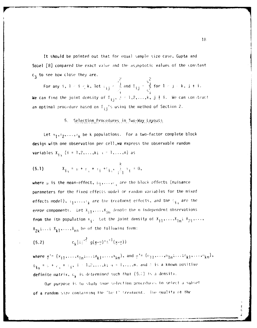It should be pointed out that for equal sample size case, Gupta and Sobel [8] compared the exact value and the asymptotic values of the constant  $c_3$  to see how close they are.

For any i,  $1 \le i \le k$ , let  $\frac{1}{i}$   $\frac{1}{i}$  and  $I_{ij} = \frac{s_i^2}{s_i^2}$  for  $1 \le j \le k$ ,  $j \ne i$ . We can find the joint density of  $T_{ij}$ ,  $j = 1, 2, ..., k$ ,  $j \neq i$ . We can construct an optimal procedure based on  $T_{\hat{i}\hat{j}}$ 's using the method of Section 2.

#### Selection Procedures in Two-Way Layouts  $5.$

Let  $\pi_1, \pi_2, \ldots, \pi_k$  be k populations. For a two-factor complete block design with one observation per cell, we express the observable random variables  $X_{i_{1},i_{2}}$  (i = 1,2,...,k;  $i = 1,...,n$ ) as

(5.1) 
$$
X_{\mathbf{i} \alpha} = \mu + \mu_{\alpha} + \mu_{\mathbf{i} \alpha} + \mu_{\mathbf{i} \alpha} + \mu_{\mathbf{i} \alpha} + \mu_{\mathbf{i} \alpha} = 0,
$$

where  $\mu$  is the mean-effect,  $\mu_1, \ldots, \mu_n$  are the block effects (nuisance parameters for the fixed effects model or random variables for the mixed effects model),  $i_1, \ldots, i_k$  are the treatment effects, and the  $i_{j_1}$  are the error components. Let  $X_{j,1},...,X_{j,p}$  denote the n independent observations from the ith population  $\pi_{\mathbf{i}}$ . Let the joint density of  $X_{11}, \ldots, X_{1n}$ ;  $X_{21}, \ldots$ ,  $x_{2k};...; x_{k1},...,x_{kn}$  be of the following form:

(5.2) 
$$
c_k |\lambda|^{-\frac{3}{2}} g(\underline{x} - \underline{\theta})^{\frac{1}{2}} \Delta^{-1}(\underline{x} - \underline{\theta}))
$$

where  $x' = (x_{11},...,x_{1n};...,x_{k1},...,x_{kn}),$  and  $v' = (v_{11},...,v_{1n};...,v_{k1},...,v_{kn}),$  $\theta_{\mathbf{i}\alpha} = \pi + \varphi_{\alpha} + \pi_{\mathbf{i}}, \ \mathbf{i} = 1, 2, ..., k; \ \alpha = 1, ..., n$ , and 2 is a known positive definite matrix,  $c_k$  is determined such that (5.2) is a density.

Our purpose is to study some selection procedures to select a subset of a random size containing the "best" treatment. The quality of the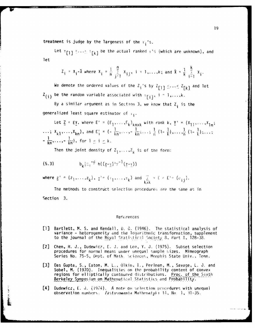treatment is judge by the largeness of the  $r_i$ 's.

Let  $\tau_{[1]}$   $\cdots$   $\tau_{[k]}$  be the actual ranked  $\tau$ 's (which are unknown), and let

$$
Z_i = x_i - \bar{x}
$$
 where  $x_i = \frac{1}{n} \sum_{j=1}^{n} x_{ij}$ ,  $i = 1,...,k$ ; and  $\bar{x} = \frac{1}{k} \sum_{i=1}^{k} x_i$ .

We denote the ordered values of the Z<sub>i</sub>'s by Z<sub>*[1]*</sub>  $\leq$ ... $\leq$  Z<sub>*[k]*</sub> and let  $Z(i)$  be the random variable associated with  $T[i]$ ,  $i = 1,...,k$ .

By a similar argument as in Section 3, we know that  $Z_i$  is the generalized least square estimator of  $\tau_3$ .

Let  $\underline{Z} = \underline{F}\underline{y}$ , where  $\underline{E}' = (\underline{F}_1, \ldots, \underline{F}_k)_{k \in \mathbb{N}}$  with rank  $k, \underline{y}' = (x_{11}, \ldots, x_{1n};$ **... " X** l . . Xkn) ' 1n \_ - 1-l ] ... . ]- l - ,lkl )  $k_1$ **,...,x**<sub>kn</sub>), and  $E'_i = (-\frac{1}{k_0}, \ldots, -\frac{1}{k_0}; \ldots; \frac{1}{n} (1-\frac{1}{k}), \ldots, \frac{1}{n} (1-\frac{1}{k}); \ldots;$  $\frac{1}{2}$   $\frac{1}{2}$   $\frac{1}{2}$  for  $\frac{1}{2}$  i i  $\frac{1}{2}$ kn"'"-kn

Then the joint density of  $Z_1,\ldots,Z_k$  is of the form:

(5.3) 
$$
b_k |z_1^{-\frac{1}{2}} h((z-\overline{z})^+)^{-1}(z-\overline{z}))
$$

where  $z' = (z_1, \ldots, z_k)$ ,  $z' = (z_1, \ldots, z_k)$  and  $\sum_{k \neq k} z_k = E \wedge E' = (e_{ij}).$ 

The methods to construct selection procedures are the same as in Section **3.**

#### References

- **[1]** Bartlett, M. S. and Kendall, D. G. (1946). The statistical analysis of variance **-** heterogeneity and the logarithmic transformation, supplement to the journal of the Royal Statistical Society 8, Part I, 128-38.
- [2] Chen, H. J., Dudewic7, E. **J.** and Lee, Y. J. (1975). Subset selection procedures for normal means under unequal sample '.izes. Mimeograph Series No. 75-5, Dept. of Math. **Sciences, Memphis State Univ.**, Tenn.
- [3] Das Gupta, S., Eaton, M. L., Olkin, **I.,** Perlman, M., Savage, L. J. and Sobel, M. (1970). Inequalities on the probability content of convex regions for elliptically contoured distributions. Proc. of the Sixth Berkeley Symposium on Mathematical Statistics and Probability.
- [4] Dudewicz, E. J. (1974). A note on selection procedures with unequal observation numbers. **Zastosowania Mathematyki 14, No. 1, 31-35.**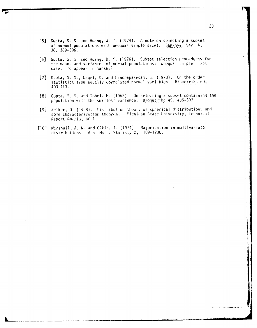- **[5]** Gupta, S. S. and Huang, W. T. (1974). A note on selecting a subset of normal populations with unequal sample sizes. Sankhyd, Ser. A, 36, 389-396.
- [6] Gupta, S. S. and Huang, D. Y. (1976). Subset selection procedures for the means and variances of normal populations: unequal sample sizes case. To appear in Sankhya.
- [7] Gupta, S. S., Naqel, K. and Parchapakesan, S. (1973). On the order statistics from equally correlated normal variables. Biometrika 60, 403-413.
- [8] Gupta, S. S. dnd Sobel, M. **()962).** On selecting a subsot containirq the population with the smallest variance. Biometrika 49, 495-507.
- [9] Kelker, D. (1968). Distribution theory of spherical distributions and some characterization theoreas. Michigan State University, Technical Report Rm-210, *DK-1.*
- [10] Marshall, A. W. and Olkin, **1.** (1974). Majorization in multivariate distributions. Ann. Math. Statist. 2, 1189-1200.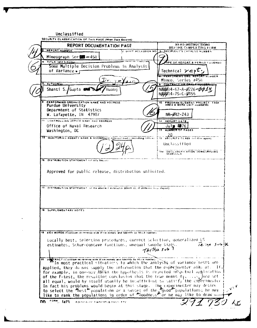Unclassified SECURITY CLASSIFICATION OF THIS PAGE (When Date Entered) READ INSTRUCTIONS<br>BEFORE COMPLETING FORM **REPORT DOCUMENTATION PAGE** REPORT NUMBER **Z GOVT ACCESSION NO.** RECIPIENT'S CATALOG NUMBER Mimeograph Ser TITLE (and Subtillat **YPE OF REPORT & PERIOD COVERED** Some Multiple Decision Problems in Analysis of Variance • r Technical  $\gamma e_{P} \tau$ . PERFORMING ORIG **ORT NUMBER** Mimeo. Series #458 **AUTHOR(A) CONTRACTOR GA** Shanti S./Gupta and NØØØ14-67-A-Ø226*-ФФ1* Huanc NØØØ14-75-C-Ø455 PERFORMING ORGANIZATION NAME AND ADDRESS **PROGRAM ELEMENT PROJECT TASK**<br>AREA & WORK UNIT HUMBERS  $\overline{10}$ . Purdue University Deparmtent of Statistics W. Lafayette, IN 47907  $NR - B42 - 243$ IT CONTROLLING OFFICE NAME AND ADDRESS 12 REPORT DATE Office of Naval Research  $J$ ulg  $76$ NUMBER OF PAGES Washington, DC  $\frac{20}{15}$  security class (of this ispan) IT MONITORING AGENCY NAME & ADDRESSED Sufferent from Controlling Officer Unclassified DECLASSIFICATION DOWNGRADING 16. DISTRIBUTION STATEMENT (of this Report) Approved for public release, distribution unlimited. 17. DISTRIBUTION STATEMENT of the abstract entered in Block 10, If different from Report) **18 SUPPLEMENTARY NOTES** 19 KEY WORDS (Continue on reverse alde if nocessary and identify by block number) flocally best, selection procedures, correct selection, generalized ES estimates, Schur-concave functions, unequal sample sizes.  $74.794 505$ Thetha sub  $\frac{1}{1}$ 20 A TRACTICONUMUS ON TOURS and If the case of the Indicate of the Canalysis of Variance Lests are applied, they do not supply the information that the experimenter aims at. If, for example, in one-way ANGVA the hypothesis is rejected in actual application of the F-test, the resulting conclusion that the true means  $\sigma_3, \ldots, \sigma_k$  are not all equal, would by itself usually be intufficient to satisfy the experimenter In fact his problems would begin at this stage. The experimenter may desire<br>to select the "best" population or a subset of the glood" populations; he may<br>like to rank the populations in order of "doodness" or he may like t FORM 1473 FOLTION OF FROM 85 IS DRIVER TE nn